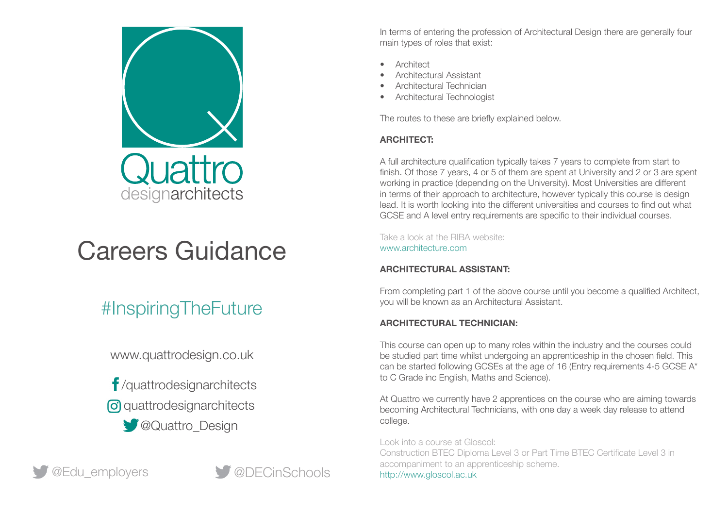

# Careers Guidance

# #InspiringTheFuture

www.quattrodesign.co.uk

 /quattrodesignarchitects **o** quattrodesignarchitects

**COUAttro\_Design** 



In terms of entering the profession of Architectural Design there are generally four main types of roles that exist:

- **Architect**
- Architectural Assistant
- Architectural Technician
- Architectural Technologist

The routes to these are briefly explained below.

# **ARCHITECT:**

A full architecture qualification typically takes 7 years to complete from start to finish. Of those 7 years, 4 or 5 of them are spent at University and 2 or 3 are spent working in practice (depending on the University). Most Universities are different in terms of their approach to architecture, however typically this course is design lead. It is worth looking into the different universities and courses to find out what GCSE and A level entry requirements are specific to their individual courses.

Take a look at the RIBA website: www.architecture.com

# **ARCHITECTURAL ASSISTANT:**

From completing part 1 of the above course until you become a qualified Architect, you will be known as an Architectural Assistant.

# **ARCHITECTURAL TECHNICIAN:**

This course can open up to many roles within the industry and the courses could be studied part time whilst undergoing an apprenticeship in the chosen field. This can be started following GCSEs at the age of 16 (Entry requirements 4-5 GCSE A\* to C Grade inc English, Maths and Science).

At Quattro we currently have 2 apprentices on the course who are aiming towards becoming Architectural Technicians, with one day a week day release to attend college.

Look into a course at Gloscol:

Construction BTEC Diploma Level 3 or Part Time BTEC Certificate Level 3 in accompaniment to an apprenticeship scheme. http://www.gloscol.ac.uk